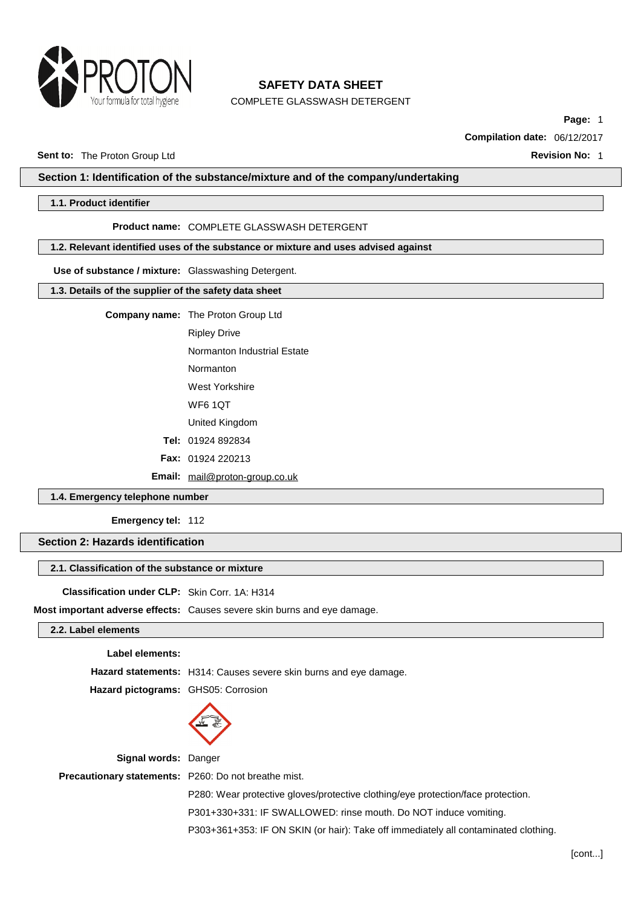

COMPLETE GLASSWASH DETERGENT

**Page:** 1

**Compilation date:** 06/12/2017

### **Sent to:** The Proton Group Ltd **Revision No:** 1

### **Section 1: Identification of the substance/mixture and of the company/undertaking**

## **1.1. Product identifier**

#### **Product name:** COMPLETE GLASSWASH DETERGENT

## **1.2. Relevant identified uses of the substance or mixture and uses advised against**

### **Use of substance / mixture:** Glasswashing Detergent.

### **1.3. Details of the supplier of the safety data sheet**

**Company name:** The Proton Group Ltd

- Ripley Drive
- Normanton Industrial Estate
- Normanton
- West Yorkshire
- WF6 1QT
- United Kingdom
- **Tel:** 01924 892834
- **Fax:** 01924 220213

**Email:** [mail@proton-group.co.uk](mailto:mail@proton-group.co.uk)

# **1.4. Emergency telephone number**

#### **Emergency tel:** 112

**Section 2: Hazards identification**

## **2.1. Classification of the substance or mixture**

### **Classification under CLP:** Skin Corr. 1A: H314

**Most important adverse effects:** Causes severe skin burns and eye damage.

# **2.2. Label elements**

### **Label elements:**

**Hazard statements:** H314: Causes severe skin burns and eye damage.

**Hazard pictograms:** GHS05: Corrosion



**Signal words:** Danger

**Precautionary statements:** P260: Do not breathe mist.

P280: Wear protective gloves/protective clothing/eye protection/face protection.

P301+330+331: IF SWALLOWED: rinse mouth. Do NOT induce vomiting.

P303+361+353: IF ON SKIN (or hair): Take off immediately all contaminated clothing.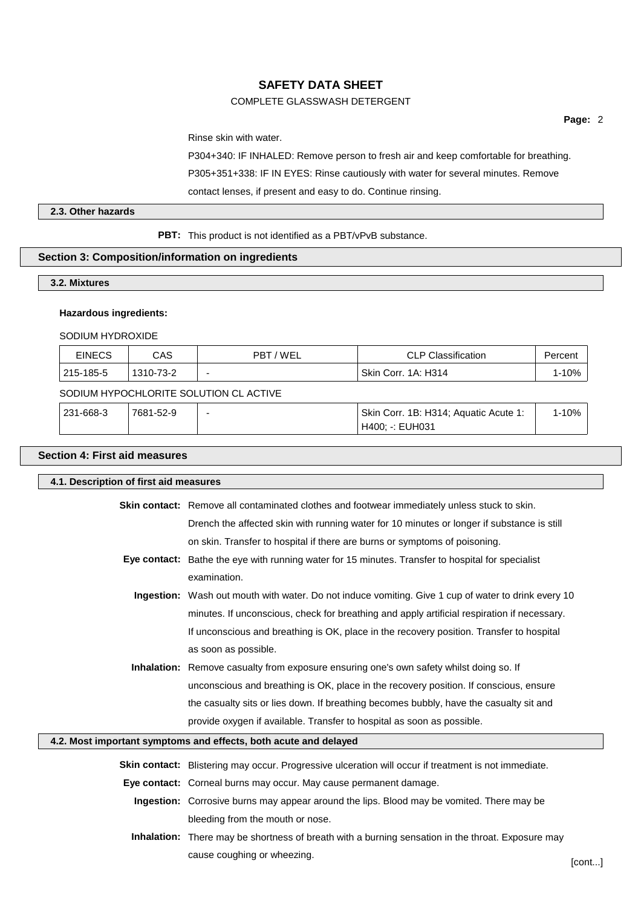# COMPLETE GLASSWASH DETERGENT

**Page:** 2

Rinse skin with water.

P304+340: IF INHALED: Remove person to fresh air and keep comfortable for breathing.

P305+351+338: IF IN EYES: Rinse cautiously with water for several minutes. Remove

contact lenses, if present and easy to do. Continue rinsing.

# **2.3. Other hazards**

**PBT:** This product is not identified as a PBT/vPvB substance.

# **Section 3: Composition/information on ingredients**

# **3.2. Mixtures**

# **Hazardous ingredients:**

SODIUM HYDROXIDE

| <b>EINECS</b> | CAS       | 7 WEL<br>PBT | <b>CLP Classification</b> | Percen |
|---------------|-----------|--------------|---------------------------|--------|
| 215-185-5     | 1310-73-2 |              | Skin Corr. 1A: H314       |        |

# SODIUM HYPOCHLORITE SOLUTION CL ACTIVE

| $ 231 - 668 - 3 $ | 7681-52-9 | Skin Corr. 1B: H314; Aquatic Acute 1: | $-10%$ |
|-------------------|-----------|---------------------------------------|--------|
|                   |           | H400: -: EUH031                       |        |

# **Section 4: First aid measures**

| 4.1. Description of first aid measures |                                                                                                      |        |
|----------------------------------------|------------------------------------------------------------------------------------------------------|--------|
|                                        | <b>Skin contact:</b> Remove all contaminated clothes and footwear immediately unless stuck to skin.  |        |
|                                        | Drench the affected skin with running water for 10 minutes or longer if substance is still           |        |
|                                        | on skin. Transfer to hospital if there are burns or symptoms of poisoning.                           |        |
|                                        | Eye contact: Bathe the eye with running water for 15 minutes. Transfer to hospital for specialist    |        |
|                                        | examination.                                                                                         |        |
|                                        | Ingestion: Wash out mouth with water. Do not induce vomiting. Give 1 cup of water to drink every 10  |        |
|                                        | minutes. If unconscious, check for breathing and apply artificial respiration if necessary.          |        |
|                                        | If unconscious and breathing is OK, place in the recovery position. Transfer to hospital             |        |
|                                        | as soon as possible.                                                                                 |        |
|                                        | <b>Inhalation:</b> Remove casualty from exposure ensuring one's own safety whilst doing so. If       |        |
|                                        | unconscious and breathing is OK, place in the recovery position. If conscious, ensure                |        |
|                                        | the casualty sits or lies down. If breathing becomes bubbly, have the casualty sit and               |        |
|                                        | provide oxygen if available. Transfer to hospital as soon as possible.                               |        |
|                                        | 4.2. Most important symptoms and effects, both acute and delayed                                     |        |
|                                        | Skin contact: Blistering may occur. Progressive ulceration will occur if treatment is not immediate. |        |
|                                        | Eye contact: Corneal burns may occur. May cause permanent damage.                                    |        |
|                                        | Ingestion: Corrosive burns may appear around the lips. Blood may be vomited. There may be            |        |
|                                        | bleeding from the mouth or nose.                                                                     |        |
|                                        | Inhalation: There may be shortness of breath with a burning sensation in the throat. Exposure may    |        |
|                                        | cause coughing or wheezing.                                                                          | [cont] |
|                                        |                                                                                                      |        |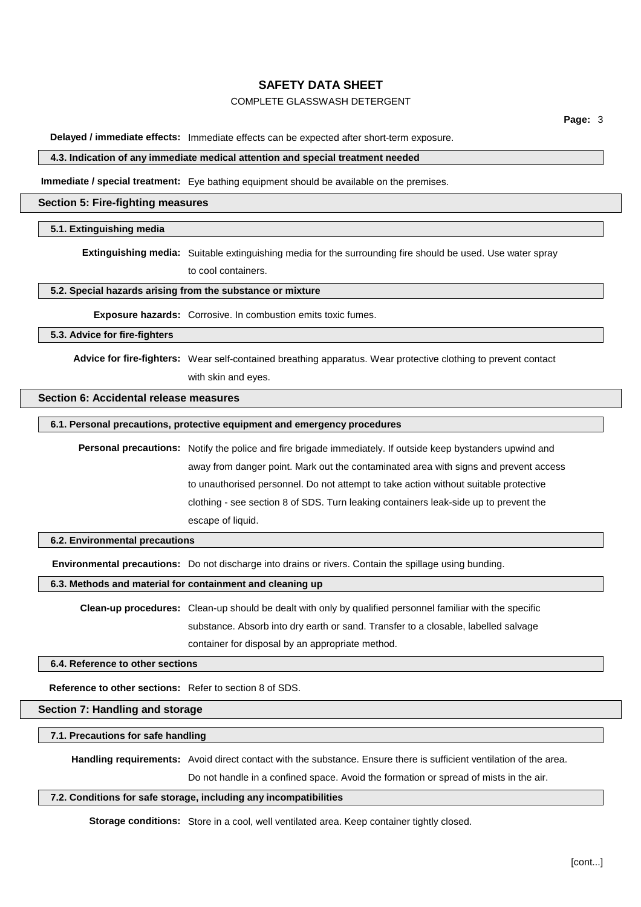# COMPLETE GLASSWASH DETERGENT

**Delayed / immediate effects:** Immediate effects can be expected after short-term exposure.

#### **4.3. Indication of any immediate medical attention and special treatment needed**

**Immediate / special treatment:** Eye bathing equipment should be available on the premises.

#### **Section 5: Fire-fighting measures**

### **5.1. Extinguishing media**

**Extinguishing media:** Suitable extinguishing media for the surrounding fire should be used. Use water spray to cool containers.

## **5.2. Special hazards arising from the substance or mixture**

**Exposure hazards:** Corrosive. In combustion emits toxic fumes.

**5.3. Advice for fire-fighters**

**Advice for fire-fighters:** Wear self-contained breathing apparatus. Wear protective clothing to prevent contact with skin and eyes.

## **Section 6: Accidental release measures**

### **6.1. Personal precautions, protective equipment and emergency procedures**

**Personal precautions:** Notify the police and fire brigade immediately. If outside keep bystanders upwind and away from danger point. Mark out the contaminated area with signs and prevent access to unauthorised personnel. Do not attempt to take action without suitable protective clothing - see section 8 of SDS. Turn leaking containers leak-side up to prevent the escape of liquid.

#### **6.2. Environmental precautions**

**Environmental precautions:** Do not discharge into drains or rivers. Contain the spillage using bunding.

**6.3. Methods and material for containment and cleaning up**

**Clean-up procedures:** Clean-up should be dealt with only by qualified personnel familiar with the specific substance. Absorb into dry earth or sand. Transfer to a closable, labelled salvage container for disposal by an appropriate method.

**6.4. Reference to other sections**

**Reference to other sections:** Refer to section 8 of SDS.

**Section 7: Handling and storage**

**7.1. Precautions for safe handling**

**Handling requirements:** Avoid direct contact with the substance. Ensure there is sufficient ventilation of the area.

Do not handle in a confined space. Avoid the formation or spread of mists in the air.

### **7.2. Conditions for safe storage, including any incompatibilities**

**Storage conditions:** Store in a cool, well ventilated area. Keep container tightly closed.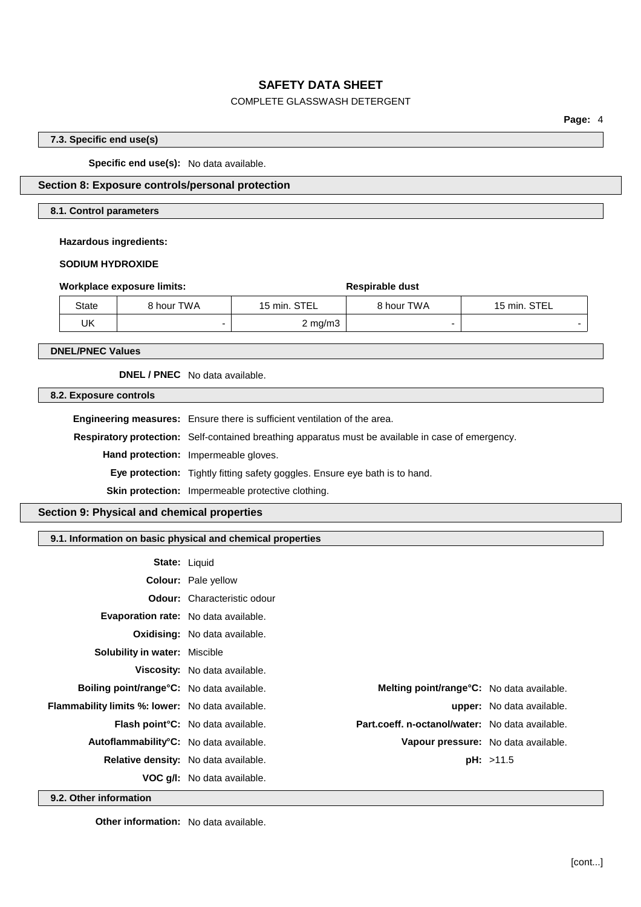# COMPLETE GLASSWASH DETERGENT

**Page:** 4

## **7.3. Specific end use(s)**

**Specific end use(s):** No data available.

# **Section 8: Exposure controls/personal protection**

## **8.1. Control parameters**

### **Hazardous ingredients:**

### **SODIUM HYDROXIDE**

|              | Workplace exposure limits: |                    | Respirable dust |              |
|--------------|----------------------------|--------------------|-----------------|--------------|
| <b>State</b> | 8 hour TWA                 | 15 min. STEL       | 8 hour TWA      | 15 min. STEL |
| UK           |                            | $2 \text{ mg/m}$ 3 |                 |              |

**DNEL/PNEC Values**

**DNEL / PNEC** No data available.

**8.2. Exposure controls**

**Engineering measures:** Ensure there is sufficient ventilation of the area.

**Respiratory protection:** Self-contained breathing apparatus must be available in case of emergency.

**Hand protection:** Impermeable gloves.

**Eye protection:** Tightly fitting safety goggles. Ensure eye bath is to hand.

**Skin protection:** Impermeable protective clothing.

# **Section 9: Physical and chemical properties**

# **9.1. Information on basic physical and chemical properties**

|                                                         | <b>State: Liquid</b>                                                                         |                                     |
|---------------------------------------------------------|----------------------------------------------------------------------------------------------|-------------------------------------|
|                                                         | <b>Colour:</b> Pale yellow                                                                   |                                     |
|                                                         | <b>Odour:</b> Characteristic odour                                                           |                                     |
|                                                         | <b>Evaporation rate:</b> No data available.                                                  |                                     |
|                                                         | <b>Oxidising:</b> No data available.                                                         |                                     |
| <b>Solubility in water: Miscible</b>                    |                                                                                              |                                     |
|                                                         | Viscosity: No data available.                                                                |                                     |
| <b>Boiling point/range °C:</b> No data available.       | <b>Melting point/range°C:</b> No data available.                                             |                                     |
| <b>Flammability limits %: lower:</b> No data available. |                                                                                              | <b>upper:</b> No data available.    |
|                                                         | Part.coeff. n-octanol/water: No data available.<br><b>Flash point °C:</b> No data available. |                                     |
| Autoflammability°C: No data available.                  |                                                                                              | Vapour pressure: No data available. |
|                                                         | Relative density: No data available.                                                         | pH: >11.5                           |
|                                                         | <b>VOC g/l:</b> No data available.                                                           |                                     |

**9.2. Other information**

**Other information:** No data available.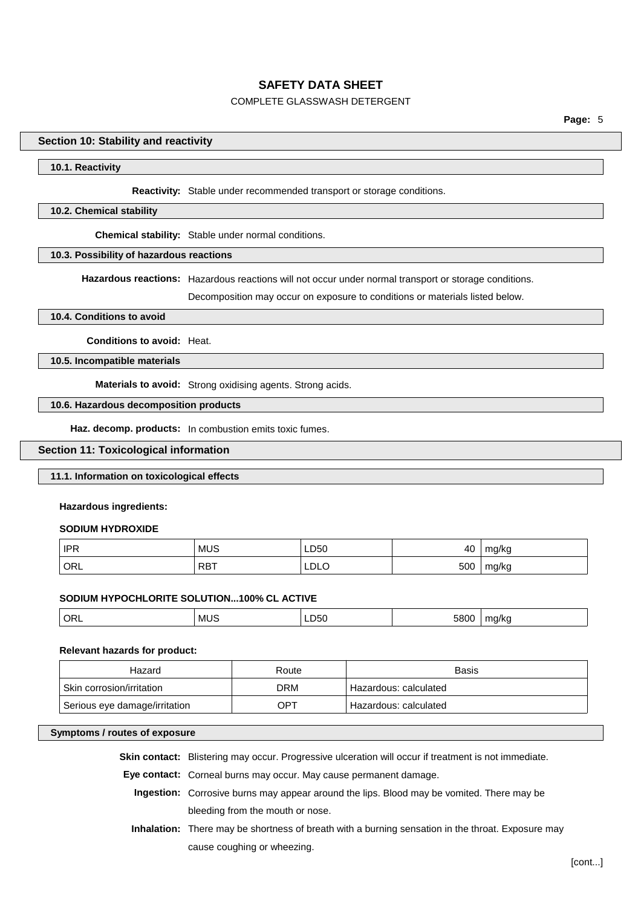# COMPLETE GLASSWASH DETERGENT

## **Section 10: Stability and reactivity**

### **10.1. Reactivity**

#### **Reactivity:** Stable under recommended transport or storage conditions.

### **10.2. Chemical stability**

**Chemical stability:** Stable under normal conditions.

### **10.3. Possibility of hazardous reactions**

**Hazardous reactions:** Hazardous reactions will not occur under normal transport or storage conditions.

Decomposition may occur on exposure to conditions or materials listed below.

#### **10.4. Conditions to avoid**

**Conditions to avoid:** Heat.

**10.5. Incompatible materials**

**Materials to avoid:** Strong oxidising agents. Strong acids.

## **10.6. Hazardous decomposition products**

**Haz. decomp. products:** In combustion emits toxic fumes.

### **Section 11: Toxicological information**

## **11.1. Information on toxicological effects**

### **Hazardous ingredients:**

#### **SODIUM HYDROXIDE**

| ∣ IPR | <b>MUS</b> | LD50 | 40  | mg/kg |
|-------|------------|------|-----|-------|
| ' ORL | <b>RBT</b> | LDLO | 500 | mg/kg |

## **SODIUM HYPOCHLORITE SOLUTION...100% CL ACTIVE**

| ັບເ<br>__<br>$ -$<br>.<br>- 11 | ORL<br>MU: |  |  | 5800 | 11c |
|--------------------------------|------------|--|--|------|-----|
|--------------------------------|------------|--|--|------|-----|

### **Relevant hazards for product:**

| Hazard                        | Route             | <b>Basis</b>          |
|-------------------------------|-------------------|-----------------------|
| Skin corrosion/irritation     | DRM               | Hazardous: calculated |
| Serious eye damage/irritation | $OP^{\mathsf{T}}$ | Hazardous: calculated |

#### **Symptoms / routes of exposure**

**Skin contact:** Blistering may occur. Progressive ulceration will occur if treatment is not immediate.

**Eye contact:** Corneal burns may occur. May cause permanent damage.

- **Ingestion:** Corrosive burns may appear around the lips. Blood may be vomited. There may be bleeding from the mouth or nose.
- **Inhalation:** There may be shortness of breath with a burning sensation in the throat. Exposure may cause coughing or wheezing.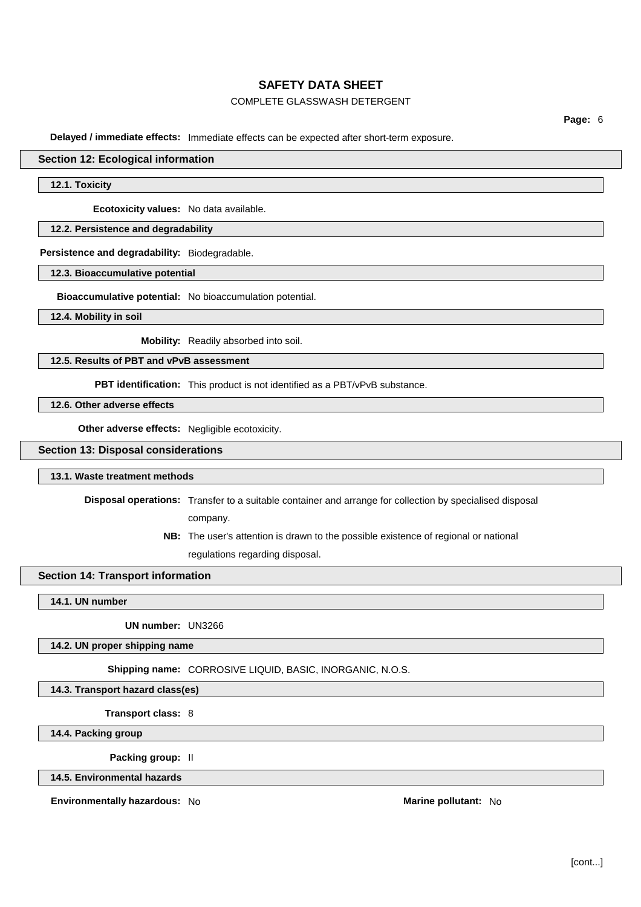# COMPLETE GLASSWASH DETERGENT

**Delayed / immediate effects:** Immediate effects can be expected after short-term exposure.

### **Section 12: Ecological information**

**12.1. Toxicity**

**Ecotoxicity values:** No data available.

## **12.2. Persistence and degradability**

**Persistence and degradability:** Biodegradable.

## **12.3. Bioaccumulative potential**

**Bioaccumulative potential:** No bioaccumulation potential.

**12.4. Mobility in soil**

**Mobility:** Readily absorbed into soil.

**12.5. Results of PBT and vPvB assessment**

**PBT identification:** This product is not identified as a PBT/vPvB substance.

**12.6. Other adverse effects**

**Other adverse effects:** Negligible ecotoxicity.

### **Section 13: Disposal considerations**

### **13.1. Waste treatment methods**

**Disposal operations:** Transfer to a suitable container and arrange for collection by specialised disposal

company.

**NB:** The user's attention is drawn to the possible existence of regional or national regulations regarding disposal.

## **Section 14: Transport information**

**14.1. UN number**

**UN number:** UN3266

**14.2. UN proper shipping name**

**Shipping name:** CORROSIVE LIQUID, BASIC, INORGANIC, N.O.S.

**14.3. Transport hazard class(es)**

**Transport class:** 8

**14.4. Packing group**

**Packing group:** II

**14.5. Environmental hazards**

**Environmentally hazardous:** No **Marine Marine Marine** pollutant: No